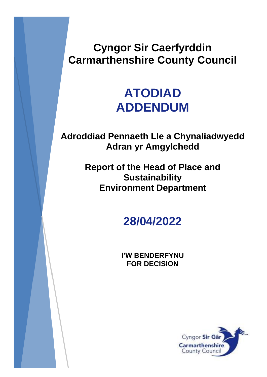## **Cyngor Sir Caerfyrddin Carmarthenshire County Council**

## **ATODIAD ADDENDUM**

**Adroddiad Pennaeth Lle a Chynaliadwyedd Adran yr Amgylchedd**

> **Report of the Head of Place and Sustainability Environment Department**

> > **28/04/2022**

**I'W BENDERFYNU FOR DECISION**